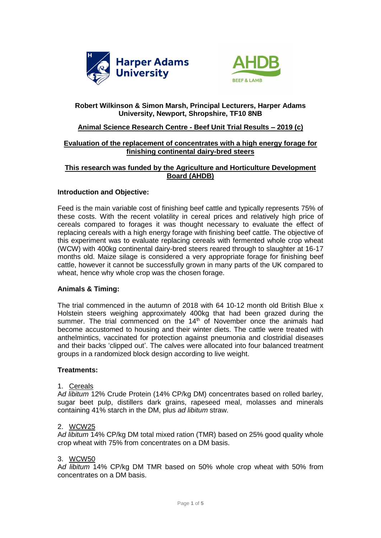



# **Robert Wilkinson & Simon Marsh, Principal Lecturers, Harper Adams University, Newport, Shropshire, TF10 8NB**

### **Animal Science Research Centre - Beef Unit Trial Results – 2019 (c)**

## **Evaluation of the replacement of concentrates with a high energy forage for finishing continental dairy-bred steers**

## **This research was funded by the Agriculture and Horticulture Development Board (AHDB)**

### **Introduction and Objective:**

Feed is the main variable cost of finishing beef cattle and typically represents 75% of these costs. With the recent volatility in cereal prices and relatively high price of cereals compared to forages it was thought necessary to evaluate the effect of replacing cereals with a high energy forage with finishing beef cattle. The objective of this experiment was to evaluate replacing cereals with fermented whole crop wheat (WCW) with 400kg continental dairy-bred steers reared through to slaughter at 16-17 months old. Maize silage is considered a very appropriate forage for finishing beef cattle, however it cannot be successfully grown in many parts of the UK compared to wheat, hence why whole crop was the chosen forage.

## **Animals & Timing:**

The trial commenced in the autumn of 2018 with 64 10-12 month old British Blue x Holstein steers weighing approximately 400kg that had been grazed during the summer. The trial commenced on the  $14<sup>th</sup>$  of November once the animals had become accustomed to housing and their winter diets. The cattle were treated with anthelmintics, vaccinated for protection against pneumonia and clostridial diseases and their backs 'clipped out'. The calves were allocated into four balanced treatment groups in a randomized block design according to live weight.

#### **Treatments:**

#### 1. Cereals

A*d libitum* 12% Crude Protein (14% CP/kg DM) concentrates based on rolled barley, sugar beet pulp, distillers dark grains, rapeseed meal, molasses and minerals containing 41% starch in the DM, plus *ad libitum* straw.

#### 2. WCW25

A*d libitum* 14% CP/kg DM total mixed ration (TMR) based on 25% good quality whole crop wheat with 75% from concentrates on a DM basis.

#### 3. WCW50

A*d libitum* 14% CP/kg DM TMR based on 50% whole crop wheat with 50% from concentrates on a DM basis.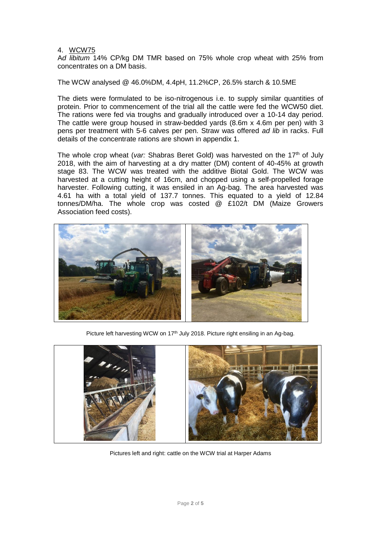#### 4. WCW75

A*d libitum* 14% CP/kg DM TMR based on 75% whole crop wheat with 25% from concentrates on a DM basis.

The WCW analysed @ 46.0%DM, 4.4pH, 11.2%CP, 26.5% starch & 10.5ME

The diets were formulated to be iso-nitrogenous i.e. to supply similar quantities of protein. Prior to commencement of the trial all the cattle were fed the WCW50 diet. The rations were fed via troughs and gradually introduced over a 10-14 day period. The cattle were group housed in straw-bedded yards (8.6m x 4.6m per pen) with 3 pens per treatment with 5-6 calves per pen. Straw was offered *ad lib* in racks. Full details of the concentrate rations are shown in appendix 1.

The whole crop wheat (*var:* Shabras Beret Gold) was harvested on the 17<sup>th</sup> of July 2018, with the aim of harvesting at a dry matter (DM) content of 40-45% at growth stage 83. The WCW was treated with the additive Biotal Gold. The WCW was harvested at a cutting height of 16cm, and chopped using a self-propelled forage harvester. Following cutting, it was ensiled in an Ag-bag. The area harvested was 4.61 ha with a total yield of 137.7 tonnes. This equated to a yield of 12.84 tonnes/DM/ha. The whole crop was costed @ £102/t DM (Maize Growers Association feed costs).



Picture left harvesting WCW on 17<sup>th</sup> July 2018. Picture right ensiling in an Ag-bag.



Pictures left and right: cattle on the WCW trial at Harper Adams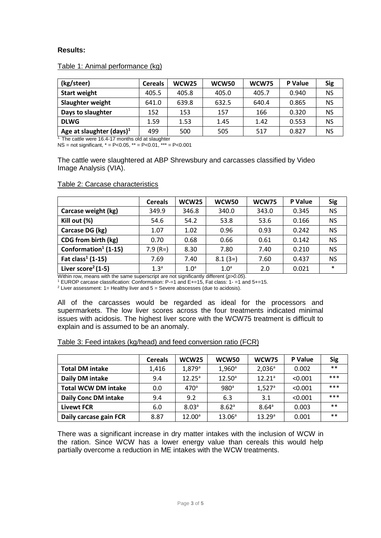# **Results:**

### Table 1: Animal performance (kg)

| (kg/steer)                  | <b>Cereals</b> | WCW <sub>25</sub> | WCW50 | WCW75 | P Value | <b>Sig</b> |
|-----------------------------|----------------|-------------------|-------|-------|---------|------------|
| <b>Start weight</b>         | 405.5          | 405.8             | 405.0 | 405.7 | 0.940   | <b>NS</b>  |
| Slaughter weight            | 641.0          | 639.8             | 632.5 | 640.4 | 0.865   | <b>NS</b>  |
| Days to slaughter           | 152            | 153               | 157   | 166   | 0.320   | <b>NS</b>  |
| <b>DLWG</b>                 | 1.59           | 1.53              | 1.45  | 1.42  | 0.553   | <b>NS</b>  |
| Age at slaughter $(days)^1$ | 499            | 500               | 505   | 517   | 0.827   | NS         |

<sup>1</sup>. The cattle were 16.4-17 months old at slaughter

NS = not significant,  $* = P < 0.05$ ,  $** = P < 0.01$ ,  $** = P < 0.001$ 

The cattle were slaughtered at ABP Shrewsbury and carcasses classified by Video Image Analysis (VIA).

|                                  | <b>Cereals</b>   | WCW25            | <b>WCW50</b>     | <b>WCW75</b> | P Value | <b>Sig</b> |
|----------------------------------|------------------|------------------|------------------|--------------|---------|------------|
| Carcase weight (kg)              | 349.9            | 346.8            | 340.0            | 343.0        | 0.345   | <b>NS</b>  |
| Kill out (%)                     | 54.6             | 54.2             | 53.8             | 53.6         | 0.166   | <b>NS</b>  |
| Carcase DG (kg)                  | 1.07             | 1.02             | 0.96             | 0.93         | 0.242   | <b>NS</b>  |
| CDG from birth (kg)              | 0.70             | 0.68             | 0.66             | 0.61         | 0.142   | <b>NS</b>  |
| Conformation <sup>1</sup> (1-15) | $7.9(R=)$        | 8.30             | 7.80             | 7.40         | 0.210   | <b>NS</b>  |
| Fat $class^1(1-15)$              | 7.69             | 7.40             | $8.1(3=)$        | 7.60         | 0.437   | <b>NS</b>  |
| Liver score <sup>2</sup> (1-5)   | 1.3 <sup>a</sup> | 1.0 <sup>a</sup> | 1.0 <sup>a</sup> | 2.0          | 0.021   | $\ast$     |

### Table 2: Carcase characteristics

Within row, means with the same superscript are not significantly different (*p>0.05*).

<sup>1</sup> EUROP carcase classification: Conformation: P-=1 and E+=15, Fat class: 1- =1 and 5+=15.

<sup>2</sup> Liver assessment:  $1=$  Healthy liver and  $5=$  Severe abscesses (due to acidosis).

All of the carcasses would be regarded as ideal for the processors and supermarkets. The low liver scores across the four treatments indicated minimal issues with acidosis. The highest liver score with the WCW75 treatment is difficult to explain and is assumed to be an anomaly.

| Table 3: Feed intakes (kg/head) and feed conversion ratio (FCR) |  |  |
|-----------------------------------------------------------------|--|--|
|                                                                 |  |  |

|                             | <b>Cereals</b> | <b>WCW25</b>      | <b>WCW50</b>      | <b>WCW75</b>         | P Value | <b>Sig</b> |
|-----------------------------|----------------|-------------------|-------------------|----------------------|---------|------------|
| <b>Total DM intake</b>      | 1,416          | $1,879^{\circ}$   | $1,960^{\circ}$   | $2,036^a$            | 0.002   | $***$      |
| Daily DM intake             | 9.4            | $12.25^a$         | $12.50^{\circ}$   | 12.21 <sup>a</sup>   | < 0.001 | ***        |
| <b>Total WCW DM intake</b>  | 0.0            | 470 <sup>a</sup>  | 980 <sup>a</sup>  | $1,527$ <sup>a</sup> | < 0.001 | ***        |
| <b>Daily Conc DM intake</b> | 9.4            | 9.2               | 6.3               | 3.1                  | < 0.001 | ***        |
| <b>Livewt FCR</b>           | 6.0            | 8.03 <sup>a</sup> | 8.62 <sup>a</sup> | $8.64^{\circ}$       | 0.003   | $***$      |
| Daily carcase gain FCR      | 8.87           | $12.00^a$         | $13.06^a$         | 13.29 <sup>a</sup>   | 0.001   | $***$      |

There was a significant increase in dry matter intakes with the inclusion of WCW in the ration. Since WCW has a lower energy value than cereals this would help partially overcome a reduction in ME intakes with the WCW treatments.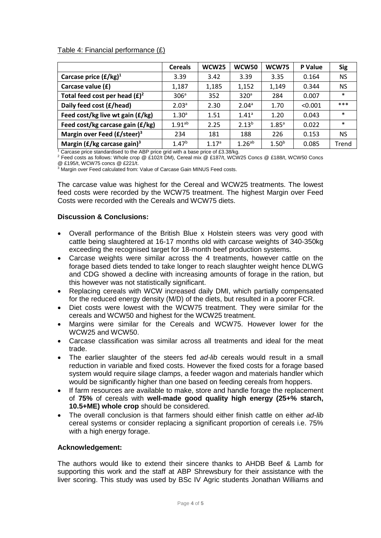### Table 4: Financial performance (£)

|                                            | <b>Cereals</b>     | <b>WCW25</b>      | <b>WCW50</b>         | <b>WCW75</b>      | P Value | <b>Sig</b> |
|--------------------------------------------|--------------------|-------------------|----------------------|-------------------|---------|------------|
| Carcase price $(f/kg)^1$                   | 3.39               | 3.42              | 3.39                 | 3.35              | 0.164   | <b>NS</b>  |
| Carcase value (£)                          | 1,187              | 1,185             | 1,152                | 1,149             | 0.344   | <b>NS</b>  |
| Total feed cost per head $(E)^2$           | 306 <sup>a</sup>   | 352               | 320 <sup>a</sup>     | 284               | 0.007   | $\ast$     |
| Daily feed cost (£/head)                   | 2.03 <sup>a</sup>  | 2.30              | 2.04 <sup>a</sup>    | 1.70              | < 0.001 | ***        |
| Feed cost/kg live wt gain (£/kg)           | 1.30 <sup>a</sup>  | 1.51              | 1.41a                | 1.20              | 0.043   | $\ast$     |
| Feed cost/kg carcase gain (£/kg)           | 1.91 <sup>ab</sup> | 2.25              | $2.13^{b}$           | $1.85^{\circ}$    | 0.022   | $\ast$     |
| Margin over Feed (£/steer) <sup>3</sup>    | 234                | 181               | 188                  | 226               | 0.153   | NS.        |
| Margin ( $E/kg$ carcase gain) <sup>3</sup> | 1.47 <sup>b</sup>  | 1.17 <sup>a</sup> | $1.26$ <sup>ab</sup> | 1.50 <sup>b</sup> | 0.085   | Trend      |

<sup>1</sup> Carcase price standardised to the ABP price grid with a base price of £3.38/kg.

<sup>2</sup> Feed costs as follows: Whole crop @ £102/t DM), Cereal mix @ £187/t, WCW25 Concs @ £188/t, WCW50 Concs @ £195/t, WCW75 concs @ £221/t.

<sup>3</sup> Margin over Feed calculated from: Value of Carcase Gain MINUS Feed costs.

The carcase value was highest for the Cereal and WCW25 treatments. The lowest feed costs were recorded by the WCW75 treatment. The highest Margin over Feed Costs were recorded with the Cereals and WCW75 diets.

### **Discussion & Conclusions:**

- Overall performance of the British Blue x Holstein steers was very good with cattle being slaughtered at 16-17 months old with carcase weights of 340-350kg exceeding the recognised target for 18-month beef production systems.
- Carcase weights were similar across the 4 treatments, however cattle on the forage based diets tended to take longer to reach slaughter weight hence DLWG and CDG showed a decline with increasing amounts of forage in the ration, but this however was not statistically significant.
- Replacing cereals with WCW increased daily DMI, which partially compensated for the reduced energy density (M/D) of the diets, but resulted in a poorer FCR.
- Diet costs were lowest with the WCW75 treatment. They were similar for the cereals and WCW50 and highest for the WCW25 treatment.
- Margins were similar for the Cereals and WCW75. However lower for the WCW25 and WCW50.
- Carcase classification was similar across all treatments and ideal for the meat trade.
- The earlier slaughter of the steers fed *ad-lib* cereals would result in a small reduction in variable and fixed costs. However the fixed costs for a forage based system would require silage clamps, a feeder wagon and materials handler which would be significantly higher than one based on feeding cereals from hoppers.
- If farm resources are available to make, store and handle forage the replacement of **75%** of cereals with **well-made good quality high energy (25+% starch, 10.5+ME) whole crop** should be considered.
- The overall conclusion is that farmers should either finish cattle on either *ad-lib* cereal systems or consider replacing a significant proportion of cereals i.e. 75% with a high energy forage.

#### **Acknowledgement:**

The authors would like to extend their sincere thanks to AHDB Beef & Lamb for supporting this work and the staff at ABP Shrewsbury for their assistance with the liver scoring. This study was used by BSc IV Agric students Jonathan Williams and